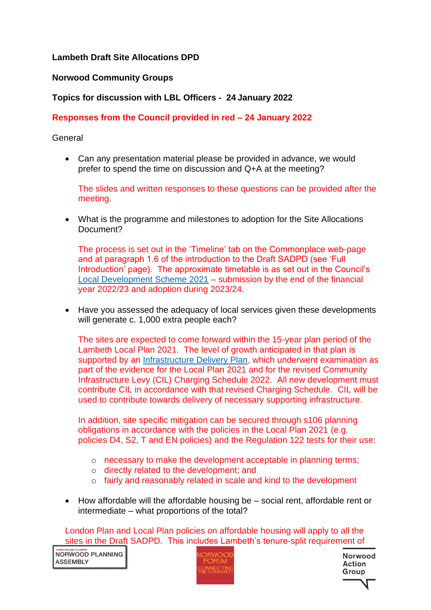# **Lambeth Draft Site Allocations DPD**

### **Norwood Community Groups**

## **Topics for discussion with LBL Officers - 24 January 2022**

## **Responses from the Council provided in red – 24 January 2022**

### **General**

• Can any presentation material please be provided in advance, we would prefer to spend the time on discussion and Q+A at the meeting?

The slides and written responses to these questions can be provided after the meeting.

• What is the programme and milestones to adoption for the Site Allocations Document?

The process is set out in the 'Timeline' tab on the Commonplace web-page and at paragraph 1.6 of the introduction to the Draft SADPD (see 'Full Introduction' page). The approximate timetable is as set out in the Council's [Local Development Scheme 2021](https://beta.lambeth.gov.uk/sites/default/files/2021-11/Appendix%201%20%20Local%20Development%20Scheme%20October%202021.pdf) – submission by the end of the financial year 2022/23 and adoption during 2023/24.

• Have you assessed the adequacy of local services given these developments will generate c. 1,000 extra people each?

The sites are expected to come forward within the 15-year plan period of the Lambeth Local Plan 2021. The level of growth anticipated in that plan is supported by an [Infrastructure Delivery Plan,](https://www.lambeth.gov.uk/sites/default/files/pl_Infrastructure_Delivery_Plan_2020_0.pdf) which underwent examination as part of the evidence for the Local Plan 2021 and for the revised Community Infrastructure Levy (CIL) Charging Schedule 2022. All new development must contribute CIL in accordance with that revised Charging Schedule. CIL will be used to contribute towards delivery of necessary supporting infrastructure.

In addition, site specific mitigation can be secured through s106 planning obligations in accordance with the policies in the Local Plan 2021 (e.g. policies D4, S2, T and EN policies) and the Regulation 122 tests for their use:

- o necessary to make the development acceptable in planning terms;
- o directly related to the development; and
- o fairly and reasonably related in scale and kind to the development
- How affordable will the affordable housing be social rent, affordable rent or intermediate – what proportions of the total?

London Plan and Local Plan policies on affordable housing will apply to all the sites in the Draft SADPD. This includes Lambeth's tenure-split requirement of

Landon Borough of Lambeth<br>NORWOOD PI ANNING **ASSEMBLY** 

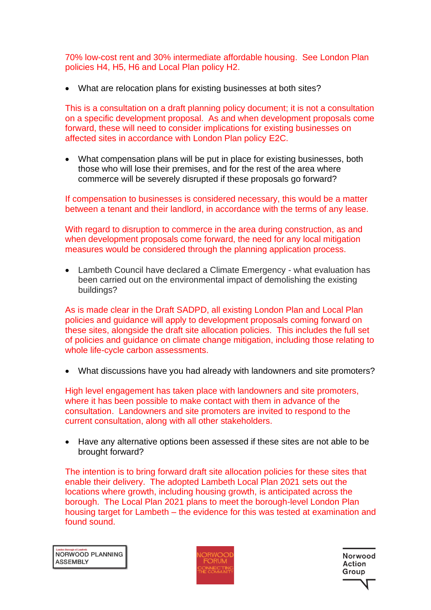70% low-cost rent and 30% intermediate affordable housing. See London Plan policies H4, H5, H6 and Local Plan policy H2.

• What are relocation plans for existing businesses at both sites?

This is a consultation on a draft planning policy document; it is not a consultation on a specific development proposal. As and when development proposals come forward, these will need to consider implications for existing businesses on affected sites in accordance with London Plan policy E2C.

• What compensation plans will be put in place for existing businesses, both those who will lose their premises, and for the rest of the area where commerce will be severely disrupted if these proposals go forward?

If compensation to businesses is considered necessary, this would be a matter between a tenant and their landlord, in accordance with the terms of any lease.

With regard to disruption to commerce in the area during construction, as and when development proposals come forward, the need for any local mitigation measures would be considered through the planning application process.

• Lambeth Council have declared a Climate Emergency - what evaluation has been carried out on the environmental impact of demolishing the existing buildings?

As is made clear in the Draft SADPD, all existing London Plan and Local Plan policies and guidance will apply to development proposals coming forward on these sites, alongside the draft site allocation policies. This includes the full set of policies and guidance on climate change mitigation, including those relating to whole life-cycle carbon assessments.

• What discussions have you had already with landowners and site promoters?

High level engagement has taken place with landowners and site promoters, where it has been possible to make contact with them in advance of the consultation. Landowners and site promoters are invited to respond to the current consultation, along with all other stakeholders.

• Have any alternative options been assessed if these sites are not able to be brought forward?

The intention is to bring forward draft site allocation policies for these sites that enable their delivery. The adopted Lambeth Local Plan 2021 sets out the locations where growth, including housing growth, is anticipated across the borough. The Local Plan 2021 plans to meet the borough-level London Plan housing target for Lambeth – the evidence for this was tested at examination and found sound.

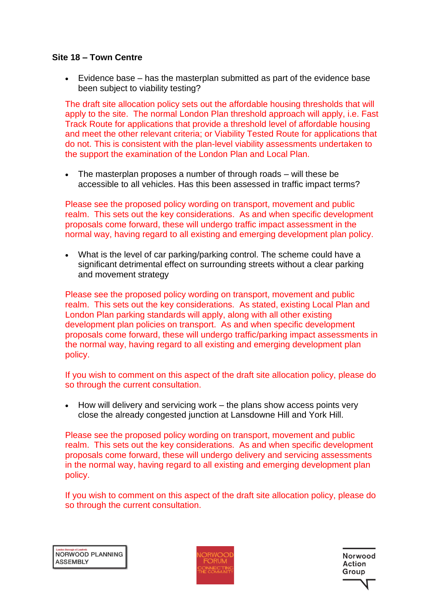### **Site 18 – Town Centre**

• Evidence base – has the masterplan submitted as part of the evidence base been subject to viability testing?

The draft site allocation policy sets out the affordable housing thresholds that will apply to the site. The normal London Plan threshold approach will apply, i.e. Fast Track Route for applications that provide a threshold level of affordable housing and meet the other relevant criteria; or Viability Tested Route for applications that do not. This is consistent with the plan-level viability assessments undertaken to the support the examination of the London Plan and Local Plan.

• The masterplan proposes a number of through roads – will these be accessible to all vehicles. Has this been assessed in traffic impact terms?

Please see the proposed policy wording on transport, movement and public realm. This sets out the key considerations. As and when specific development proposals come forward, these will undergo traffic impact assessment in the normal way, having regard to all existing and emerging development plan policy.

• What is the level of car parking/parking control. The scheme could have a significant detrimental effect on surrounding streets without a clear parking and movement strategy

Please see the proposed policy wording on transport, movement and public realm. This sets out the key considerations. As stated, existing Local Plan and London Plan parking standards will apply, along with all other existing development plan policies on transport. As and when specific development proposals come forward, these will undergo traffic/parking impact assessments in the normal way, having regard to all existing and emerging development plan policy.

If you wish to comment on this aspect of the draft site allocation policy, please do so through the current consultation.

• How will delivery and servicing work – the plans show access points very close the already congested junction at Lansdowne Hill and York Hill.

Please see the proposed policy wording on transport, movement and public realm. This sets out the key considerations. As and when specific development proposals come forward, these will undergo delivery and servicing assessments in the normal way, having regard to all existing and emerging development plan policy.

If you wish to comment on this aspect of the draft site allocation policy, please do so through the current consultation.

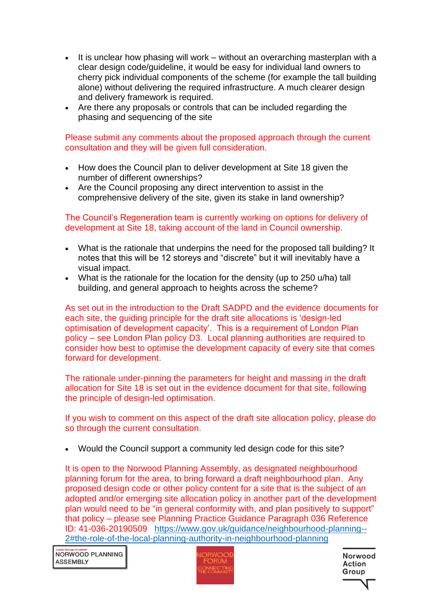- It is unclear how phasing will work without an overarching masterplan with a clear design code/guideline, it would be easy for individual land owners to cherry pick individual components of the scheme (for example the tall building alone) without delivering the required infrastructure. A much clearer design and delivery framework is required.
- Are there any proposals or controls that can be included regarding the phasing and sequencing of the site

Please submit any comments about the proposed approach through the current consultation and they will be given full consideration.

- How does the Council plan to deliver development at Site 18 given the number of different ownerships?
- Are the Council proposing any direct intervention to assist in the comprehensive delivery of the site, given its stake in land ownership?

The Council's Regeneration team is currently working on options for delivery of development at Site 18, taking account of the land in Council ownership.

- What is the rationale that underpins the need for the proposed tall building? It notes that this will be 12 storeys and "discrete" but it will inevitably have a visual impact.
- What is the rationale for the location for the density (up to 250 u/ha) tall building, and general approach to heights across the scheme?

As set out in the introduction to the Draft SADPD and the evidence documents for each site, the guiding principle for the draft site allocations is 'design-led optimisation of development capacity'. This is a requirement of London Plan policy – see London Plan policy D3. Local planning authorities are required to consider how best to optimise the development capacity of every site that comes forward for development.

The rationale under-pinning the parameters for height and massing in the draft allocation for Site 18 is set out in the evidence document for that site, following the principle of design-led optimisation.

If you wish to comment on this aspect of the draft site allocation policy, please do so through the current consultation.

• Would the Council support a community led design code for this site?

It is open to the Norwood Planning Assembly, as designated neighbourhood planning forum for the area, to bring forward a draft neighbourhood plan. Any proposed design code or other policy content for a site that is the subject of an adopted and/or emerging site allocation policy in another part of the development plan would need to be "in general conformity with, and plan positively to support" that policy – please see Planning Practice Guidance Paragraph 036 Reference ID: 41-036-20190509 [https://www.gov.uk/guidance/neighbourhood-planning--](https://www.gov.uk/guidance/neighbourhood-planning--2#the-role-of-the-local-planning-authority-in-neighbourhood-planning) [2#the-role-of-the-local-planning-authority-in-neighbourhood-planning](https://www.gov.uk/guidance/neighbourhood-planning--2#the-role-of-the-local-planning-authority-in-neighbourhood-planning)

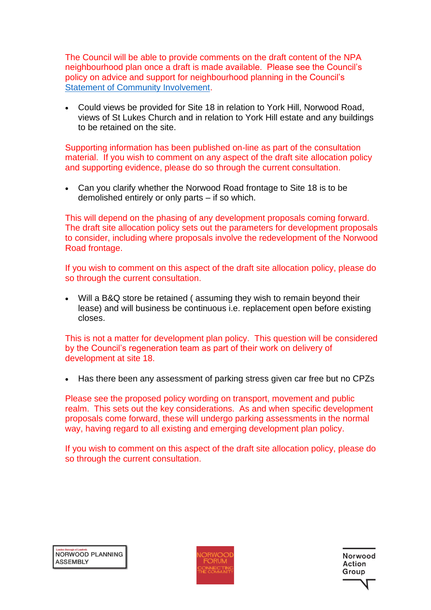The Council will be able to provide comments on the draft content of the NPA neighbourhood plan once a draft is made available. Please see the Council's policy on advice and support for neighbourhood planning in the Council's [Statement of Community Involvement.](https://beta.lambeth.gov.uk/sites/default/files/2020-12/Statement%20of%20Community%20Involvement%20Oct%202020.pdf)

• Could views be provided for Site 18 in relation to York Hill, Norwood Road, views of St Lukes Church and in relation to York Hill estate and any buildings to be retained on the site.

Supporting information has been published on-line as part of the consultation material. If you wish to comment on any aspect of the draft site allocation policy and supporting evidence, please do so through the current consultation.

• Can you clarify whether the Norwood Road frontage to Site 18 is to be demolished entirely or only parts – if so which.

This will depend on the phasing of any development proposals coming forward. The draft site allocation policy sets out the parameters for development proposals to consider, including where proposals involve the redevelopment of the Norwood Road frontage.

If you wish to comment on this aspect of the draft site allocation policy, please do so through the current consultation.

Will a B&Q store be retained (assuming they wish to remain beyond their lease) and will business be continuous i.e. replacement open before existing closes.

This is not a matter for development plan policy. This question will be considered by the Council's regeneration team as part of their work on delivery of development at site 18.

• Has there been any assessment of parking stress given car free but no CPZs

Please see the proposed policy wording on transport, movement and public realm. This sets out the key considerations. As and when specific development proposals come forward, these will undergo parking assessments in the normal way, having regard to all existing and emerging development plan policy.

If you wish to comment on this aspect of the draft site allocation policy, please do so through the current consultation.

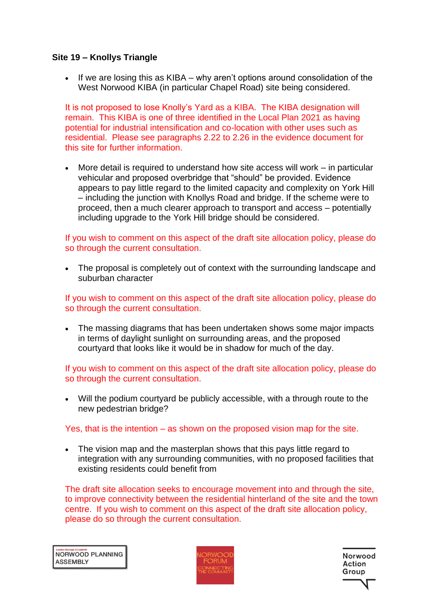### **Site 19 – Knollys Triangle**

• If we are losing this as KIBA – why aren't options around consolidation of the West Norwood KIBA (in particular Chapel Road) site being considered.

It is not proposed to lose Knolly's Yard as a KIBA. The KIBA designation will remain. This KIBA is one of three identified in the Local Plan 2021 as having potential for industrial intensification and co-location with other uses such as residential. Please see paragraphs 2.22 to 2.26 in the evidence document for this site for further information.

• More detail is required to understand how site access will work – in particular vehicular and proposed overbridge that "should" be provided. Evidence appears to pay little regard to the limited capacity and complexity on York Hill – including the junction with Knollys Road and bridge. If the scheme were to proceed, then a much clearer approach to transport and access – potentially including upgrade to the York Hill bridge should be considered.

If you wish to comment on this aspect of the draft site allocation policy, please do so through the current consultation.

• The proposal is completely out of context with the surrounding landscape and suburban character

If you wish to comment on this aspect of the draft site allocation policy, please do so through the current consultation.

• The massing diagrams that has been undertaken shows some major impacts in terms of daylight sunlight on surrounding areas, and the proposed courtyard that looks like it would be in shadow for much of the day.

If you wish to comment on this aspect of the draft site allocation policy, please do so through the current consultation.

• Will the podium courtyard be publicly accessible, with a through route to the new pedestrian bridge?

#### Yes, that is the intention – as shown on the proposed vision map for the site.

• The vision map and the masterplan shows that this pays little regard to integration with any surrounding communities, with no proposed facilities that existing residents could benefit from

The draft site allocation seeks to encourage movement into and through the site, to improve connectivity between the residential hinterland of the site and the town centre. If you wish to comment on this aspect of the draft site allocation policy, please do so through the current consultation.

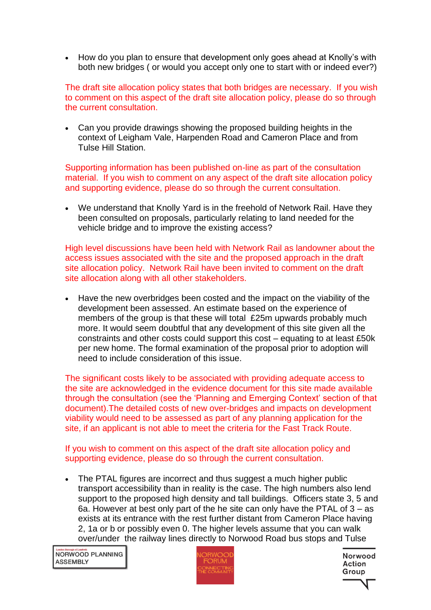• How do you plan to ensure that development only goes ahead at Knolly's with both new bridges ( or would you accept only one to start with or indeed ever?)

The draft site allocation policy states that both bridges are necessary. If you wish to comment on this aspect of the draft site allocation policy, please do so through the current consultation.

• Can you provide drawings showing the proposed building heights in the context of Leigham Vale, Harpenden Road and Cameron Place and from Tulse Hill Station.

Supporting information has been published on-line as part of the consultation material. If you wish to comment on any aspect of the draft site allocation policy and supporting evidence, please do so through the current consultation.

• We understand that Knolly Yard is in the freehold of Network Rail. Have they been consulted on proposals, particularly relating to land needed for the vehicle bridge and to improve the existing access?

High level discussions have been held with Network Rail as landowner about the access issues associated with the site and the proposed approach in the draft site allocation policy. Network Rail have been invited to comment on the draft site allocation along with all other stakeholders.

• Have the new overbridges been costed and the impact on the viability of the development been assessed. An estimate based on the experience of members of the group is that these will total £25m upwards probably much more. It would seem doubtful that any development of this site given all the constraints and other costs could support this cost – equating to at least £50k per new home. The formal examination of the proposal prior to adoption will need to include consideration of this issue.

The significant costs likely to be associated with providing adequate access to the site are acknowledged in the evidence document for this site made available through the consultation (see the 'Planning and Emerging Context' section of that document).The detailed costs of new over-bridges and impacts on development viability would need to be assessed as part of any planning application for the site, if an applicant is not able to meet the criteria for the Fast Track Route.

If you wish to comment on this aspect of the draft site allocation policy and supporting evidence, please do so through the current consultation.

• The PTAL figures are incorrect and thus suggest a much higher public transport accessibility than in reality is the case. The high numbers also lend support to the proposed high density and tall buildings. Officers state 3, 5 and 6a. However at best only part of the he site can only have the PTAL of  $3 - as$ exists at its entrance with the rest further distant from Cameron Place having 2, 1a or b or possibly even 0. The higher levels assume that you can walk over/under the railway lines directly to Norwood Road bus stops and Tulse

NORWOOD PLANNING **ASSEMBLY** 



Norwood Action Group